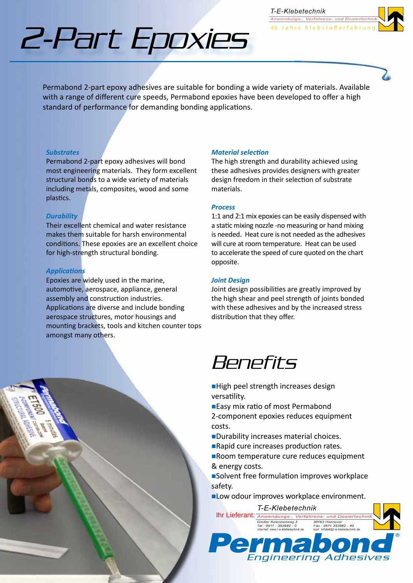2-Part Epoxies

Permabond 2-part epoxy adhesives are suitable for bonding a wide variety of materials. Available with a range of different cure speeds, Permabond epoxies have been developed to offer a high standard of performance for demanding bonding applications.

## *Substrates*

Permabond 2-part epoxy adhesives will bond most engineering materials. They form excellent structural bonds to a wide variety of materials including metals, composites, wood and some plastics.

# *Durability*

Their excellent chemical and water resistance makes them suitable for harsh environmental conditions. These epoxies are an excellent choice for high-strength structural bonding.

## *Applications*

Epoxies are widely used in the marine, automotive, aerospace, appliance, general assembly and construction industries. Applications are diverse and include bonding aerospace structures, motor housings and mounting brackets, tools and kitchen counter tops amongst many others.

#### *Material selection*

The high strength and durability achieved using these adhesives provides designers with greater design freedom in their selection of substrate materials.

T-E-Klebetechnik Anwendungs-, Verfahrens- und D

40 Jahre Klebstofferfahrun

#### *Process*

1:1 and 2:1 mix epoxies can be easily dispensed with a static mixing nozzle -no measuring or hand mixing is needed. Heat cure is not needed as the adhesives will cure at room temperature. Heat can be used to accelerate the speed of cure quoted on the chart opposite.

#### *Joint Design*

Joint design possibilities are greatly improved by the high shear and peel strength of joints bonded with these adhesives and by the increased stress distribution that they offer.

# **Benefits**

- High peel strength increases design versatility.
- ■Easy mix ratio of most Permabond

2-component epoxies reduces equipment costs.

- **Durability increases material choices.**
- **Rapid cure increases production rates.**
- Room temperature cure reduces equipment & energy costs.

■Solvent free formulation improves workplace safety.

**Low odour improves workplace environment.**